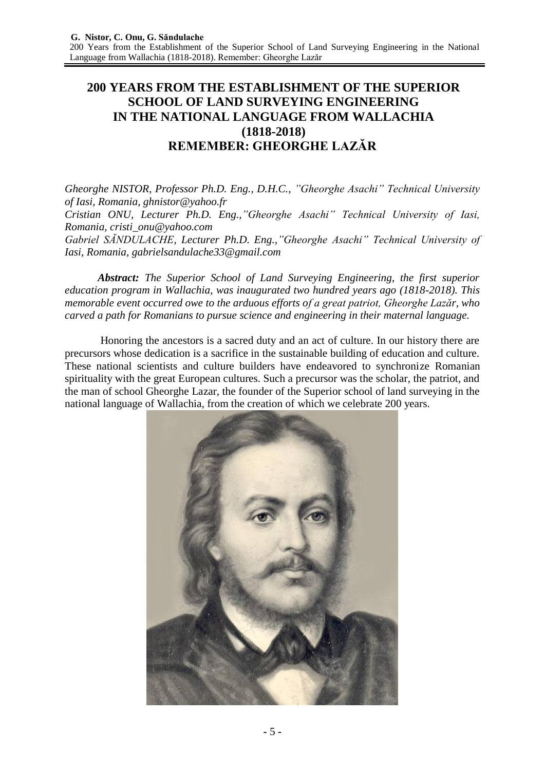## **200 YEARS FROM THE ESTABLISHMENT OF THE SUPERIOR SCHOOL OF LAND SURVEYING ENGINEERING IN THE NATIONAL LANGUAGE FROM WALLACHIA (1818-2018) REMEMBER: GHEORGHE LAZĂR**

*Gheorghe NISTOR, Professor Ph.D. Eng., D.H.C., "Gheorghe Asachi" Technical University of Iasi, Romania, ghnistor@yahoo.fr Cristian ONU, Lecturer Ph.D. Eng.,"Gheorghe Asachi" Technical University of Iasi, Romania, [cristi\\_onu@yahoo.com](mailto:cristi_onu@yahoo.com) Gabriel SĂNDULACHE, Lecturer Ph.D. Eng.,"Gheorghe Asachi" Technical University of Iasi, Romania, gabrielsandulache33@gmail.com*

*Abstract: The Superior School of Land Surveying Engineering, the first superior education program in Wallachia, was inaugurated two hundred years ago (1818-2018). This memorable event occurred owe to the arduous efforts of a great patriot, Gheorghe Lazăr, who carved a path for Romanians to pursue science and engineering in their maternal language.*

Honoring the ancestors is a sacred duty and an act of culture. In our history there are precursors whose dedication is a sacrifice in the sustainable building of education and culture. These national scientists and culture builders have endeavored to synchronize Romanian spirituality with the great European cultures. Such a precursor was the scholar, the patriot, and the man of school Gheorghe Lazar, the founder of the Superior school of land surveying in the national language of Wallachia, from the creation of which we celebrate 200 years.

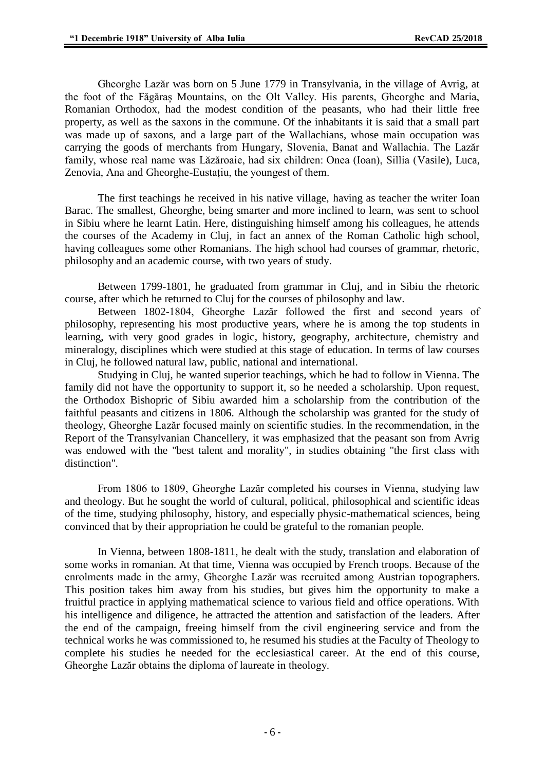Gheorghe Lazăr was born on 5 June 1779 in Transylvania, in the village of Avrig, at the foot of the Făgăraș Mountains, on the Olt Valley. His parents, Gheorghe and Maria, Romanian Orthodox, had the modest condition of the peasants, who had their little free property, as well as the saxons in the commune. Of the inhabitants it is said that a small part was made up of saxons, and a large part of the Wallachians, whose main occupation was carrying the goods of merchants from Hungary, Slovenia, Banat and Wallachia. The Lazăr family, whose real name was Lăzăroaie, had six children: Onea (Ioan), Sillia (Vasile), Luca, Zenovia, Ana and Gheorghe-Eustațiu, the youngest of them.

The first teachings he received in his native village, having as teacher the writer Ioan Barac. The smallest, Gheorghe, being smarter and more inclined to learn, was sent to school in Sibiu where he learnt Latin. Here, distinguishing himself among his colleagues, he attends the courses of the Academy in Cluj, in fact an annex of the Roman Catholic high school, having colleagues some other Romanians. The high school had courses of grammar, rhetoric, philosophy and an academic course, with two years of study.

Between 1799-1801, he graduated from grammar in Cluj, and in Sibiu the rhetoric course, after which he returned to Cluj for the courses of philosophy and law.

Between 1802-1804, Gheorghe Lazăr followed the first and second years of philosophy, representing his most productive years, where he is among the top students in learning, with very good grades in logic, history, geography, architecture, chemistry and mineralogy, disciplines which were studied at this stage of education. In terms of law courses in Cluj, he followed natural law, public, national and international.

Studying in Cluj, he wanted superior teachings, which he had to follow in Vienna. The family did not have the opportunity to support it, so he needed a scholarship. Upon request, the Orthodox Bishopric of Sibiu awarded him a scholarship from the contribution of the faithful peasants and citizens in 1806. Although the scholarship was granted for the study of theology, Gheorghe Lazăr focused mainly on scientific studies. In the recommendation, in the Report of the Transylvanian Chancellery, it was emphasized that the peasant son from Avrig was endowed with the "best talent and morality", in studies obtaining "the first class with distinction".

From 1806 to 1809, Gheorghe Lazăr completed his courses in Vienna, studying law and theology. But he sought the world of cultural, political, philosophical and scientific ideas of the time, studying philosophy, history, and especially physic-mathematical sciences, being convinced that by their appropriation he could be grateful to the romanian people.

In Vienna, between 1808-1811, he dealt with the study, translation and elaboration of some works in romanian. At that time, Vienna was occupied by French troops. Because of the enrolments made in the army, Gheorghe Lazăr was recruited among Austrian topographers. This position takes him away from his studies, but gives him the opportunity to make a fruitful practice in applying mathematical science to various field and office operations. With his intelligence and diligence, he attracted the attention and satisfaction of the leaders. After the end of the campaign, freeing himself from the civil engineering service and from the technical works he was commissioned to, he resumed his studies at the Faculty of Theology to complete his studies he needed for the ecclesiastical career. At the end of this course, Gheorghe Lazăr obtains the diploma of laureate in theology.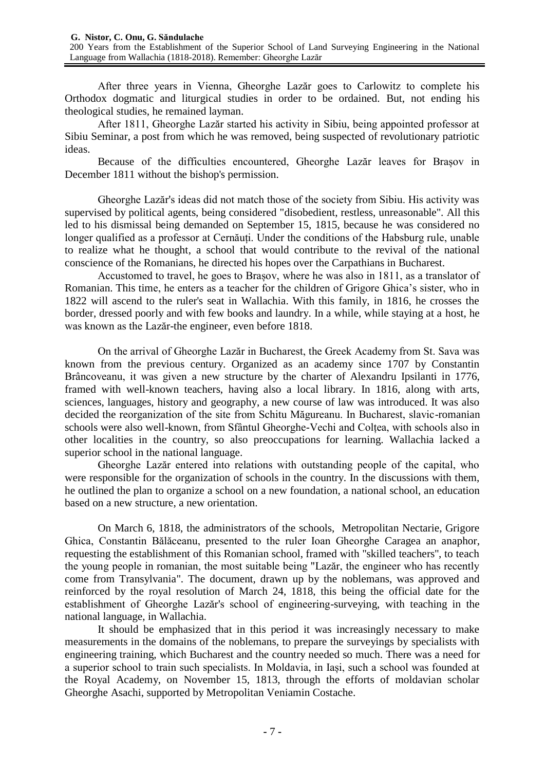After three years in Vienna, Gheorghe Lazăr goes to Carlowitz to complete his Orthodox dogmatic and liturgical studies in order to be ordained. But, not ending his theological studies, he remained layman.

After 1811, Gheorghe Lazăr started his activity in Sibiu, being appointed professor at Sibiu Seminar, a post from which he was removed, being suspected of revolutionary patriotic ideas.

Because of the difficulties encountered, Gheorghe Lazăr leaves for Brașov in December 1811 without the bishop's permission.

Gheorghe Lazăr's ideas did not match those of the society from Sibiu. His activity was supervised by political agents, being considered "disobedient, restless, unreasonable". All this led to his dismissal being demanded on September 15, 1815, because he was considered no longer qualified as a professor at Cernăuți. Under the conditions of the Habsburg rule, unable to realize what he thought, a school that would contribute to the revival of the national conscience of the Romanians, he directed his hopes over the Carpathians in Bucharest.

Accustomed to travel, he goes to Brașov, where he was also in 1811, as a translator of Romanian. This time, he enters as a teacher for the children of Grigore Ghica's sister, who in 1822 will ascend to the ruler's seat in Wallachia. With this family, in 1816, he crosses the border, dressed poorly and with few books and laundry. In a while, while staying at a host, he was known as the Lazăr-the engineer, even before 1818.

On the arrival of Gheorghe Lazăr in Bucharest, the Greek Academy from St. Sava was known from the previous century. Organized as an academy since 1707 by Constantin Brâncoveanu, it was given a new structure by the charter of Alexandru Ipsilanti in 1776, framed with well-known teachers, having also a local library. In 1816, along with arts, sciences, languages, history and geography, a new course of law was introduced. It was also decided the reorganization of the site from Schitu Măgureanu. In Bucharest, slavic-romanian schools were also well-known, from Sfântul Gheorghe-Vechi and Colțea, with schools also in other localities in the country, so also preoccupations for learning. Wallachia lacked a superior school in the national language.

Gheorghe Lazăr entered into relations with outstanding people of the capital, who were responsible for the organization of schools in the country. In the discussions with them, he outlined the plan to organize a school on a new foundation, a national school, an education based on a new structure, a new orientation.

On March 6, 1818, the administrators of the schools, Metropolitan Nectarie, Grigore Ghica, Constantin Bălăceanu, presented to the ruler Ioan Gheorghe Caragea an anaphor, requesting the establishment of this Romanian school, framed with "skilled teachers", to teach the young people in romanian, the most suitable being "Lazăr, the engineer who has recently come from Transylvania". The document, drawn up by the noblemans, was approved and reinforced by the royal resolution of March 24, 1818, this being the official date for the establishment of Gheorghe Lazăr's school of engineering-surveying, with teaching in the national language, in Wallachia.

It should be emphasized that in this period it was increasingly necessary to make measurements in the domains of the noblemans, to prepare the surveyings by specialists with engineering training, which Bucharest and the country needed so much. There was a need for a superior school to train such specialists. In Moldavia, in Iași, such a school was founded at the Royal Academy, on November 15, 1813, through the efforts of moldavian scholar Gheorghe Asachi, supported by Metropolitan Veniamin Costache.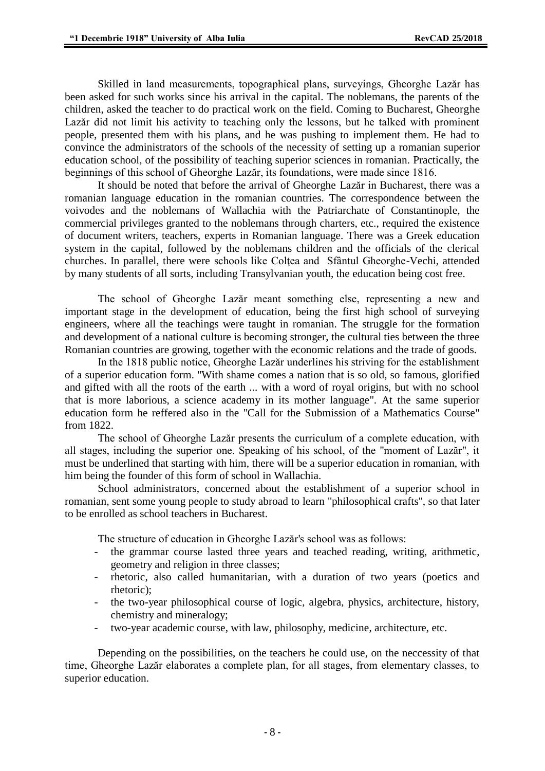Skilled in land measurements, topographical plans, surveyings, Gheorghe Lazăr has been asked for such works since his arrival in the capital. The noblemans, the parents of the children, asked the teacher to do practical work on the field. Coming to Bucharest, Gheorghe Lazăr did not limit his activity to teaching only the lessons, but he talked with prominent people, presented them with his plans, and he was pushing to implement them. He had to convince the administrators of the schools of the necessity of setting up a romanian superior education school, of the possibility of teaching superior sciences in romanian. Practically, the beginnings of this school of Gheorghe Lazăr, its foundations, were made since 1816.

It should be noted that before the arrival of Gheorghe Lazăr in Bucharest, there was a romanian language education in the romanian countries. The correspondence between the voivodes and the noblemans of Wallachia with the Patriarchate of Constantinople, the commercial privileges granted to the noblemans through charters, etc., required the existence of document writers, teachers, experts in Romanian language. There was a Greek education system in the capital, followed by the noblemans children and the officials of the clerical churches. In parallel, there were schools like Coltea and Sfântul Gheorghe-Vechi, attended by many students of all sorts, including Transylvanian youth, the education being cost free.

The school of Gheorghe Lazăr meant something else, representing a new and important stage in the development of education, being the first high school of surveying engineers, where all the teachings were taught in romanian. The struggle for the formation and development of a national culture is becoming stronger, the cultural ties between the three Romanian countries are growing, together with the economic relations and the trade of goods.

In the 1818 public notice, Gheorghe Lazăr underlines his striving for the establishment of a superior education form. "With shame comes a nation that is so old, so famous, glorified and gifted with all the roots of the earth ... with a word of royal origins, but with no school that is more laborious, a science academy in its mother language". At the same superior education form he reffered also in the "Call for the Submission of a Mathematics Course" from 1822.

The school of Gheorghe Lazăr presents the curriculum of a complete education, with all stages, including the superior one. Speaking of his school, of the "moment of Lazăr", it must be underlined that starting with him, there will be a superior education in romanian, with him being the founder of this form of school in Wallachia.

School administrators, concerned about the establishment of a superior school in romanian, sent some young people to study abroad to learn "philosophical crafts", so that later to be enrolled as school teachers in Bucharest.

The structure of education in Gheorghe Lazăr's school was as follows:

- the grammar course lasted three years and teached reading, writing, arithmetic, geometry and religion in three classes;
- rhetoric, also called humanitarian, with a duration of two years (poetics and rhetoric);
- the two-year philosophical course of logic, algebra, physics, architecture, history, chemistry and mineralogy;
- two-year academic course, with law, philosophy, medicine, architecture, etc.

Depending on the possibilities, on the teachers he could use, on the neccessity of that time, Gheorghe Lazăr elaborates a complete plan, for all stages, from elementary classes, to superior education.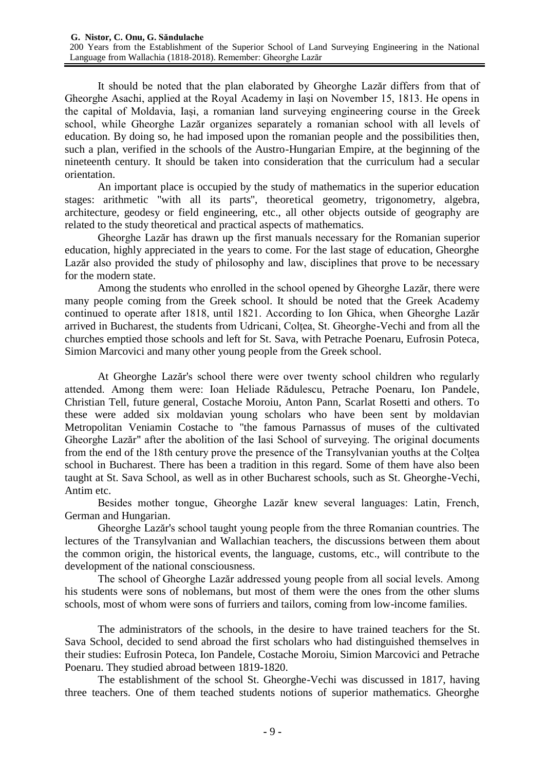It should be noted that the plan elaborated by Gheorghe Lazăr differs from that of Gheorghe Asachi, applied at the Royal Academy in Iași on November 15, 1813. He opens in the capital of Moldavia, Iași, a romanian land surveying engineering course in the Greek school, while Gheorghe Lazăr organizes separately a romanian school with all levels of education. By doing so, he had imposed upon the romanian people and the possibilities then, such a plan, verified in the schools of the Austro-Hungarian Empire, at the beginning of the nineteenth century. It should be taken into consideration that the curriculum had a secular orientation.

An important place is occupied by the study of mathematics in the superior education stages: arithmetic "with all its parts", theoretical geometry, trigonometry, algebra, architecture, geodesy or field engineering, etc., all other objects outside of geography are related to the study theoretical and practical aspects of mathematics.

Gheorghe Lazăr has drawn up the first manuals necessary for the Romanian superior education, highly appreciated in the years to come. For the last stage of education, Gheorghe Lazăr also provided the study of philosophy and law, disciplines that prove to be necessary for the modern state.

Among the students who enrolled in the school opened by Gheorghe Lazăr, there were many people coming from the Greek school. It should be noted that the Greek Academy continued to operate after 1818, until 1821. According to Ion Ghica, when Gheorghe Lazăr arrived in Bucharest, the students from Udricani, Colțea, St. Gheorghe-Vechi and from all the churches emptied those schools and left for St. Sava, with Petrache Poenaru, Eufrosin Poteca, Simion Marcovici and many other young people from the Greek school.

At Gheorghe Lazăr's school there were over twenty school children who regularly attended. Among them were: Ioan Heliade Rădulescu, Petrache Poenaru, Ion Pandele, Christian Tell, future general, Costache Moroiu, Anton Pann, Scarlat Rosetti and others. To these were added six moldavian young scholars who have been sent by moldavian Metropolitan Veniamin Costache to "the famous Parnassus of muses of the cultivated Gheorghe Lazăr" after the abolition of the Iasi School of surveying. The original documents from the end of the 18th century prove the presence of the Transylvanian youths at the Coltea school in Bucharest. There has been a tradition in this regard. Some of them have also been taught at St. Sava School, as well as in other Bucharest schools, such as St. Gheorghe-Vechi, Antim etc.

Besides mother tongue, Gheorghe Lazăr knew several languages: Latin, French, German and Hungarian.

Gheorghe Lazăr's school taught young people from the three Romanian countries. The lectures of the Transylvanian and Wallachian teachers, the discussions between them about the common origin, the historical events, the language, customs, etc., will contribute to the development of the national consciousness.

The school of Gheorghe Lazăr addressed young people from all social levels. Among his students were sons of noblemans, but most of them were the ones from the other slums schools, most of whom were sons of furriers and tailors, coming from low-income families.

The administrators of the schools, in the desire to have trained teachers for the St. Sava School, decided to send abroad the first scholars who had distinguished themselves in their studies: Eufrosin Poteca, Ion Pandele, Costache Moroiu, Simion Marcovici and Petrache Poenaru. They studied abroad between 1819-1820.

The establishment of the school St. Gheorghe-Vechi was discussed in 1817, having three teachers. One of them teached students notions of superior mathematics. Gheorghe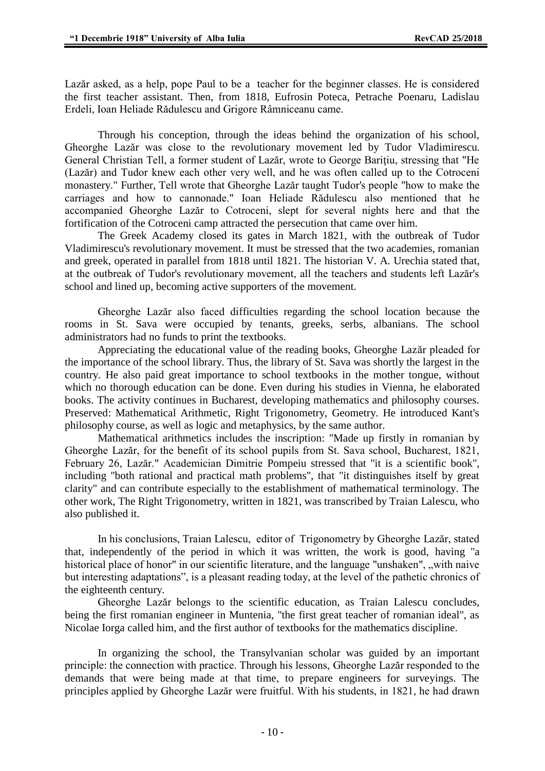Lazăr asked, as a help, pope Paul to be a teacher for the beginner classes. He is considered the first teacher assistant. Then, from 1818, Eufrosin Poteca, Petrache Poenaru, Ladislau Erdeli, Ioan Heliade Rădulescu and Grigore Râmniceanu came.

Through his conception, through the ideas behind the organization of his school, Gheorghe Lazăr was close to the revolutionary movement led by Tudor Vladimirescu. General Christian Tell, a former student of Lazăr, wrote to George Barițiu, stressing that "He (Lazăr) and Tudor knew each other very well, and he was often called up to the Cotroceni monastery." Further, Tell wrote that Gheorghe Lazăr taught Tudor's people "how to make the carriages and how to cannonade." Ioan Heliade Rădulescu also mentioned that he accompanied Gheorghe Lazăr to Cotroceni, slept for several nights here and that the fortification of the Cotroceni camp attracted the persecution that came over him.

The Greek Academy closed its gates in March 1821, with the outbreak of Tudor Vladimirescu's revolutionary movement. It must be stressed that the two academies, romanian and greek, operated in parallel from 1818 until 1821. The historian V. A. Urechia stated that, at the outbreak of Tudor's revolutionary movement, all the teachers and students left Lazăr's school and lined up, becoming active supporters of the movement.

Gheorghe Lazăr also faced difficulties regarding the school location because the rooms in St. Sava were occupied by tenants, greeks, serbs, albanians. The school administrators had no funds to print the textbooks.

Appreciating the educational value of the reading books, Gheorghe Lazăr pleaded for the importance of the school library. Thus, the library of St. Sava was shortly the largest in the country. He also paid great importance to school textbooks in the mother tongue, without which no thorough education can be done. Even during his studies in Vienna, he elaborated books. The activity continues in Bucharest, developing mathematics and philosophy courses. Preserved: Mathematical Arithmetic, Right Trigonometry, Geometry. He introduced Kant's philosophy course, as well as logic and metaphysics, by the same author.

Mathematical arithmetics includes the inscription: "Made up firstly in romanian by Gheorghe Lazăr, for the benefit of its school pupils from St. Sava school, Bucharest, 1821, February 26, Lazăr." Academician Dimitrie Pompeiu stressed that "it is a scientific book", including "both rational and practical math problems", that "it distinguishes itself by great clarity" and can contribute especially to the establishment of mathematical terminology. The other work, The Right Trigonometry, written in 1821, was transcribed by Traian Lalescu, who also published it.

In his conclusions, Traian Lalescu, editor of Trigonometry by Gheorghe Lazăr, stated that, independently of the period in which it was written, the work is good, having "a historical place of honor" in our scientific literature, and the language "unshaken", "with naive but interesting adaptations", is a pleasant reading today, at the level of the pathetic chronics of the eighteenth century.

Gheorghe Lazăr belongs to the scientific education, as Traian Lalescu concludes, being the first romanian engineer in Muntenia, "the first great teacher of romanian ideal", as Nicolae Iorga called him, and the first author of textbooks for the mathematics discipline.

In organizing the school, the Transylvanian scholar was guided by an important principle: the connection with practice. Through his lessons, Gheorghe Lazăr responded to the demands that were being made at that time, to prepare engineers for surveyings. The principles applied by Gheorghe Lazăr were fruitful. With his students, in 1821, he had drawn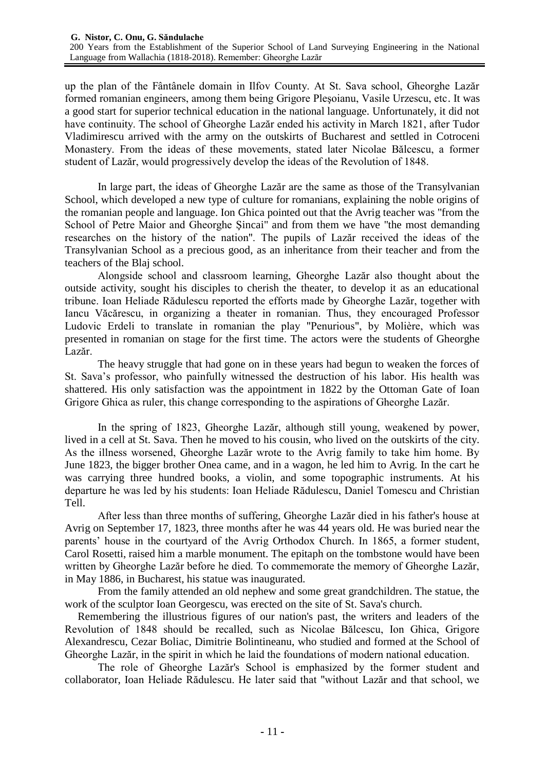up the plan of the Fântânele domain in Ilfov County. At St. Sava school, Gheorghe Lazăr formed romanian engineers, among them being Grigore Pleşoianu, Vasile Urzescu, etc. It was a good start for superior technical education in the national language. Unfortunately, it did not have continuity. The school of Gheorghe Lazăr ended his activity in March 1821, after Tudor Vladimirescu arrived with the army on the outskirts of Bucharest and settled in Cotroceni Monastery. From the ideas of these movements, stated later Nicolae Bălcescu, a former student of Lazăr, would progressively develop the ideas of the Revolution of 1848.

In large part, the ideas of Gheorghe Lazăr are the same as those of the Transylvanian School, which developed a new type of culture for romanians, explaining the noble origins of the romanian people and language. Ion Ghica pointed out that the Avrig teacher was "from the School of Petre Maior and Gheorghe Şincai" and from them we have "the most demanding researches on the history of the nation". The pupils of Lazăr received the ideas of the Transylvanian School as a precious good, as an inheritance from their teacher and from the teachers of the Blaj school.

Alongside school and classroom learning, Gheorghe Lazăr also thought about the outside activity, sought his disciples to cherish the theater, to develop it as an educational tribune. Ioan Heliade Rădulescu reported the efforts made by Gheorghe Lazăr, together with Iancu Văcărescu, in organizing a theater in romanian. Thus, they encouraged Professor Ludovic Erdeli to translate in romanian the play "Penurious", by Molière, which was presented in romanian on stage for the first time. The actors were the students of Gheorghe Lazăr.

The heavy struggle that had gone on in these years had begun to weaken the forces of St. Sava's professor, who painfully witnessed the destruction of his labor. His health was shattered. His only satisfaction was the appointment in 1822 by the Ottoman Gate of Ioan Grigore Ghica as ruler, this change corresponding to the aspirations of Gheorghe Lazăr.

In the spring of 1823, Gheorghe Lazăr, although still young, weakened by power, lived in a cell at St. Sava. Then he moved to his cousin, who lived on the outskirts of the city. As the illness worsened, Gheorghe Lazăr wrote to the Avrig family to take him home. By June 1823, the bigger brother Onea came, and in a wagon, he led him to Avrig. In the cart he was carrying three hundred books, a violin, and some topographic instruments. At his departure he was led by his students: Ioan Heliade Rădulescu, Daniel Tomescu and Christian Tell.

After less than three months of suffering, Gheorghe Lazăr died in his father's house at Avrig on September 17, 1823, three months after he was 44 years old. He was buried near the parents' house in the courtyard of the Avrig Orthodox Church. In 1865, a former student, Carol Rosetti, raised him a marble monument. The epitaph on the tombstone would have been written by Gheorghe Lazăr before he died. To commemorate the memory of Gheorghe Lazăr, in May 1886, in Bucharest, his statue was inaugurated.

From the family attended an old nephew and some great grandchildren. The statue, the work of the sculptor Ioan Georgescu, was erected on the site of St. Sava's church.

Remembering the illustrious figures of our nation's past, the writers and leaders of the Revolution of 1848 should be recalled, such as Nicolae Bălcescu, Ion Ghica, Grigore Alexandrescu, Cezar Boliac, Dimitrie Bolintineanu, who studied and formed at the School of Gheorghe Lazăr, in the spirit in which he laid the foundations of modern national education.

The role of Gheorghe Lazăr's School is emphasized by the former student and collaborator, Ioan Heliade Rădulescu. He later said that "without Lazăr and that school, we